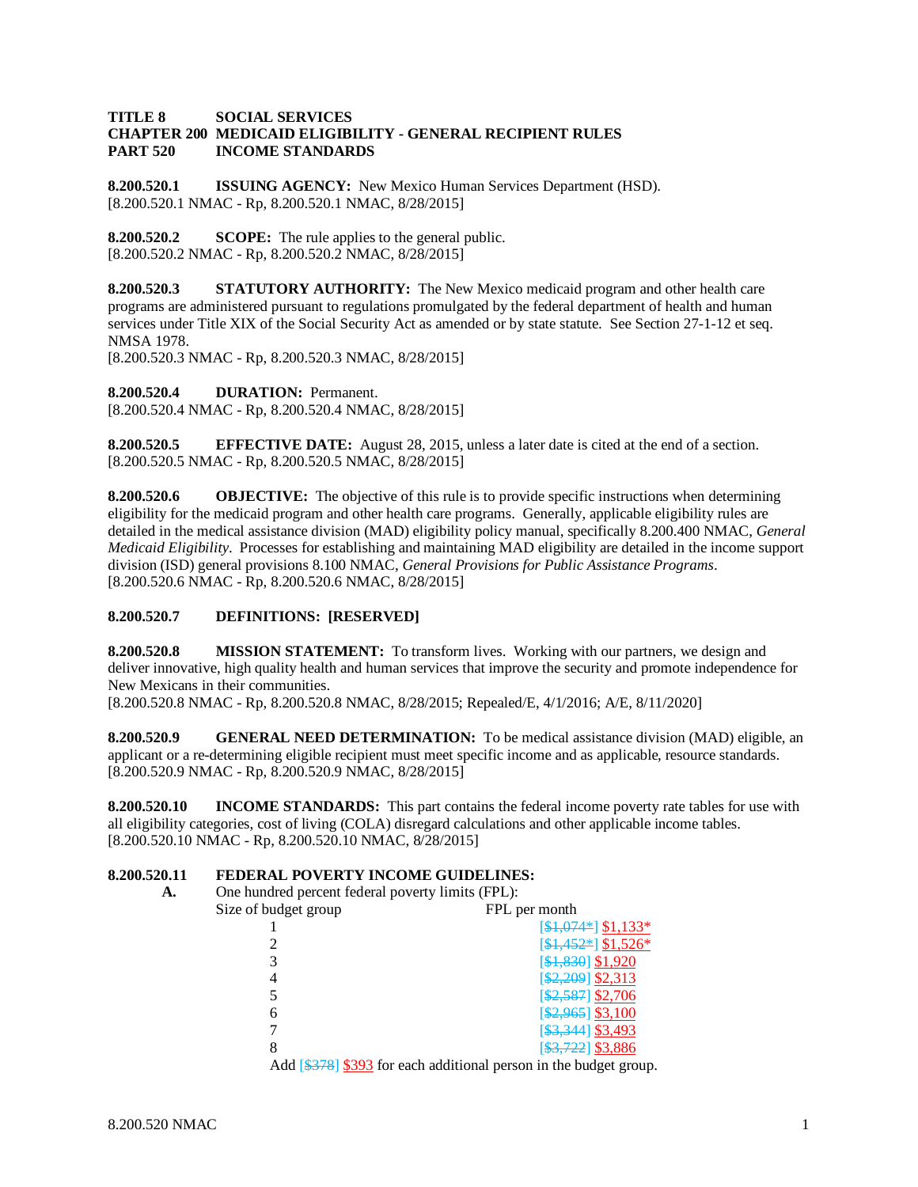#### **TITLE 8 SOCIAL SERVICES CHAPTER 200 MEDICAID ELIGIBILITY - GENERAL RECIPIENT RULES INCOME STANDARDS**

**8.200.520.1 ISSUING AGENCY:** New Mexico Human Services Department (HSD). [8.200.520.1 NMAC - Rp, 8.200.520.1 NMAC, 8/28/2015]

**8.200.520.2 SCOPE:** The rule applies to the general public. [8.200.520.2 NMAC - Rp, 8.200.520.2 NMAC, 8/28/2015]

**8.200.520.3 STATUTORY AUTHORITY:** The New Mexico medicaid program and other health care programs are administered pursuant to regulations promulgated by the federal department of health and human services under Title XIX of the Social Security Act as amended or by state statute. See Section 27-1-12 et seq. NMSA 1978.

[8.200.520.3 NMAC - Rp, 8.200.520.3 NMAC, 8/28/2015]

**8.200.520.4 DURATION:** Permanent. [8.200.520.4 NMAC - Rp, 8.200.520.4 NMAC, 8/28/2015]

**8.200.520.5 EFFECTIVE DATE:** August 28, 2015, unless a later date is cited at the end of a section. [8.200.520.5 NMAC - Rp, 8.200.520.5 NMAC, 8/28/2015]

**8.200.520.6 OBJECTIVE:** The objective of this rule is to provide specific instructions when determining eligibility for the medicaid program and other health care programs. Generally, applicable eligibility rules are detailed in the medical assistance division (MAD) eligibility policy manual, specifically 8.200.400 NMAC, *General Medicaid Eligibility*. Processes for establishing and maintaining MAD eligibility are detailed in the income support division (ISD) general provisions 8.100 NMAC, *General Provisions for Public Assistance Programs*. [8.200.520.6 NMAC - Rp, 8.200.520.6 NMAC, 8/28/2015]

### **8.200.520.7 DEFINITIONS: [RESERVED]**

**8.200.520.8 MISSION STATEMENT:** To transform lives. Working with our partners, we design and deliver innovative, high quality health and human services that improve the security and promote independence for New Mexicans in their communities.

[8.200.520.8 NMAC - Rp, 8.200.520.8 NMAC, 8/28/2015; Repealed/E, 4/1/2016; A/E, 8/11/2020]

**8.200.520.9 GENERAL NEED DETERMINATION:** To be medical assistance division (MAD) eligible, an applicant or a re-determining eligible recipient must meet specific income and as applicable, resource standards. [8.200.520.9 NMAC - Rp, 8.200.520.9 NMAC, 8/28/2015]

**8.200.520.10 INCOME STANDARDS:** This part contains the federal income poverty rate tables for use with all eligibility categories, cost of living (COLA) disregard calculations and other applicable income tables. [8.200.520.10 NMAC - Rp, 8.200.520.10 NMAC, 8/28/2015]

# **8.200.520.11 <b>FEDERAL POVERTY INCOME GUIDELINES:**<br>A. One hundred percent federal poverty limits (FPI.):

**A.** One hundred percent federal poverty limits (FPL):

| Size of budget group | FPL per month                                                           |
|----------------------|-------------------------------------------------------------------------|
|                      | $[$1,074*]$ \$1,133*                                                    |
|                      | $[$1,452*]$ \$1,526*                                                    |
|                      | [\$1,830] \$1,920                                                       |
|                      | [\$2,209] \$2,313                                                       |
|                      | $[$2,587]$ \$2,706                                                      |
| 6                    | [\$2,965] \$3,100                                                       |
|                      | [\$3,344] \$3,493                                                       |
|                      | $[$ \$3,722] \$3,886                                                    |
|                      | $\Lambda$ 44 [0270] 0202 for each additional noncon in the budget cover |

Add [\$378] \$393 for each additional person in the budget group.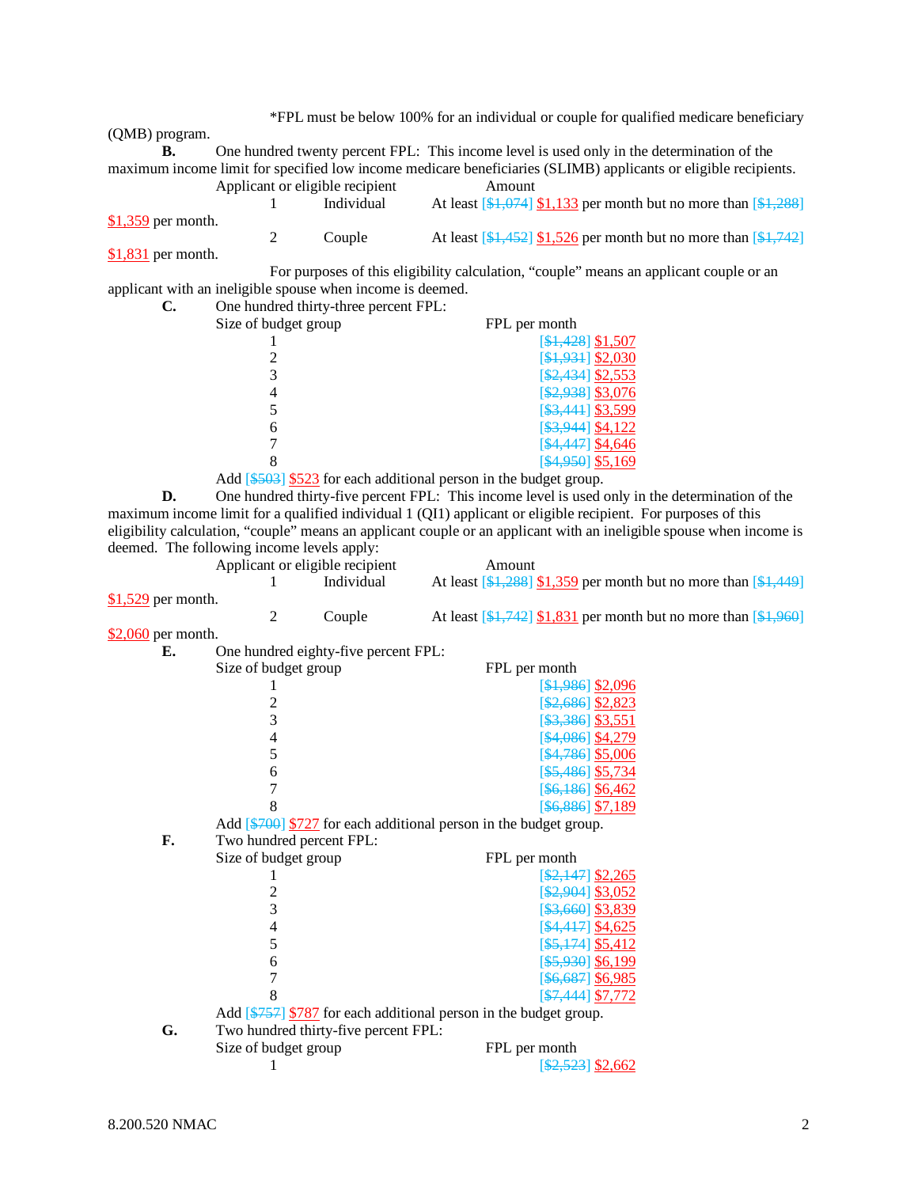\*FPL must be below 100% for an individual or couple for qualified medicare beneficiary (QMB) program. **B.** One hundred twenty percent FPL: This income level is used only in the determination of the maximum income limit for specified low income medicare beneficiaries (SLIMB) applicants or eligible recipients. Applicant or eligible recipient Amount 1 Individual At least  $\left[\frac{1074}{1074}\right]$  \$1,133 per month but no more than  $\left[\frac{1288}{1074}\right]$ 

\$1,359 per month. 2 Couple At least  $\left[\frac{1}{31},\frac{452}{31},\frac{526}{31}\right]$  per month but no more than  $\left[\frac{1}{31},\frac{742}{31}\right]$ \$1,831 per month.

For purposes of this eligibility calculation, "couple" means an applicant couple or an applicant with an ineligible spouse when income is deemed.

| C. | One hundred thirty-three percent FPL: |                        |
|----|---------------------------------------|------------------------|
|    | Size of budget group                  | FPL per month          |
|    |                                       | $[$1,428]$ \$1,507     |
|    |                                       | $[$1,931]$ \$2,030     |
|    |                                       | $\[ $2,434]$ \$2,553   |
|    |                                       | $[$2,938]$ \$3,076     |
|    |                                       | $[$ \$3,441 \\ \$3,599 |
|    |                                       | [\$3,944] \$4,122      |
|    |                                       | [\$4,447] \$4,646      |
|    |                                       | $[$4,950]$ \$5,169     |

Add [\$503] \$523 for each additional person in the budget group.

**D.** One hundred thirty-five percent FPL: This income level is used only in the determination of the maximum income limit for a qualified individual 1 (QI1) applicant or eligible recipient. For purposes of this eligibility calculation, "couple" means an applicant couple or an applicant with an ineligible spouse when income is deemed. The following income levels apply:

|                     | Applicant or eligible recipient |                                                                                     | Amount |                                                                                     |
|---------------------|---------------------------------|-------------------------------------------------------------------------------------|--------|-------------------------------------------------------------------------------------|
|                     |                                 | Individual                                                                          |        | At least $\[ $1,288]$ \$1,359 per month but no more than $\[ $1,449]$               |
| $$1,529$ per month. |                                 |                                                                                     |        |                                                                                     |
|                     | 2                               | Couple                                                                              |        | At least $[\frac{1,742}{1,831}]$ per month but no more than $[\frac{1,960}{1,960}]$ |
| $$2,060$ per month. |                                 |                                                                                     |        |                                                                                     |
| Е.                  |                                 | One hundred eighty-five percent FPL:                                                |        |                                                                                     |
|                     | Size of budget group            |                                                                                     |        | FPL per month                                                                       |
|                     |                                 |                                                                                     |        | $[$1,986]$ \$2,096                                                                  |
|                     | $\overline{c}$                  |                                                                                     |        | $[$2,686]$ \$2,823                                                                  |
|                     | 3                               |                                                                                     |        | $[$ \$3,386] \$3,551                                                                |
|                     | $\overline{\mathcal{L}}$        |                                                                                     |        | [\$4,086] \$4,279                                                                   |
|                     | 5                               |                                                                                     |        | $[$4,786]$ \$5,006                                                                  |
|                     | 6                               |                                                                                     |        | $[$ \$5,486] \$5,734                                                                |
|                     | 7                               |                                                                                     |        | $[$ \$6,186] \$6,462                                                                |
|                     | 8                               |                                                                                     |        | [\$6,886] \$7,189                                                                   |
|                     |                                 | Add $\left[\frac{4700}{727}\right]$ for each additional person in the budget group. |        |                                                                                     |
| F.                  | Two hundred percent FPL:        |                                                                                     |        |                                                                                     |
|                     | Size of budget group            |                                                                                     |        | FPL per month                                                                       |
|                     |                                 |                                                                                     |        | $[ $2,147]$ \$2,265                                                                 |
|                     | $\overline{c}$                  |                                                                                     |        | [\$2,904] \$3,052                                                                   |
|                     | $\overline{3}$                  |                                                                                     |        | [\$3,660] \$3,839                                                                   |
|                     | 4                               |                                                                                     |        | [\$4,417] \$4,625                                                                   |
|                     | 5                               |                                                                                     |        | $[$ \$5,174] \$5,412                                                                |
|                     | 6                               |                                                                                     |        | $[$5,930]$ \$6,199                                                                  |
|                     | $\overline{7}$                  |                                                                                     |        | [\$6,687] \$6,985                                                                   |
|                     | 8                               |                                                                                     |        | [\$7,444] \$7,772                                                                   |
|                     |                                 | Add [\$757] \$787 for each additional person in the budget group.                   |        |                                                                                     |
| G.                  |                                 | Two hundred thirty-five percent FPL:                                                |        |                                                                                     |
|                     | Size of budget group            |                                                                                     |        | FPL per month                                                                       |
|                     |                                 |                                                                                     |        | $\[ $2,523]$ \$2,662                                                                |
|                     |                                 |                                                                                     |        |                                                                                     |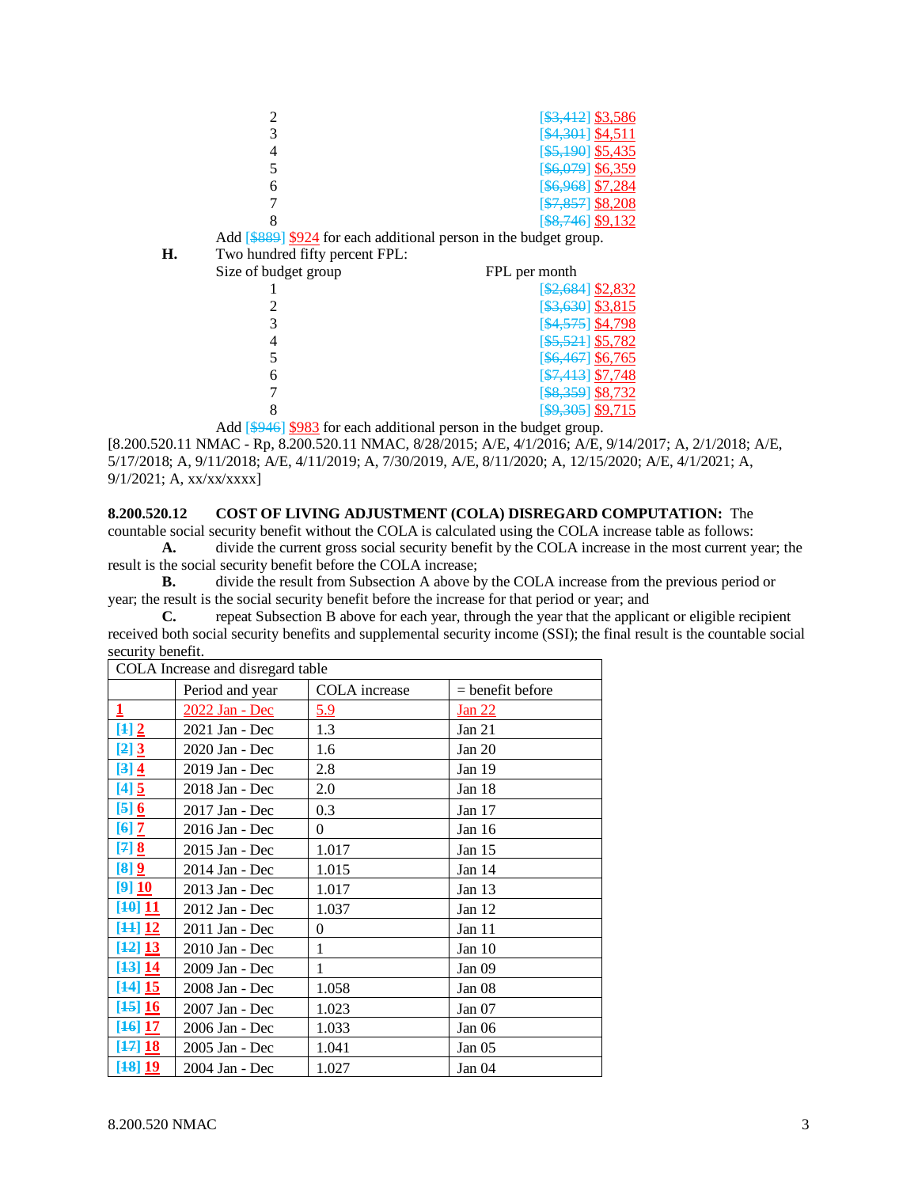|                 |                             |  | $[$ \$3,412] \$3,586    |
|-----------------|-----------------------------|--|-------------------------|
| 2               |                             |  | [\$4,301] \$4,511       |
|                 |                             |  | $[$5,190]$ \$5,435      |
| 5               |                             |  | [\$6,079] \$6,359       |
| 6               |                             |  | [\$6,968] \$7,284       |
|                 |                             |  | $[$7,857]$ \$8,208      |
|                 |                             |  | $[$ \$8,746 $]$ \$9,132 |
| 0.0000000000000 | $\sim$ $\sim$ $\sim$ $\sim$ |  | .                       |

Add [\$889] \$924 for each additional person in the budget group.<br>Two hundred fifty percent FPL:

| Н. | Two hundred fifty percent FPL: |
|----|--------------------------------|
|    | Size of budget group           |

| budget group | FPL per month        |
|--------------|----------------------|
|              | [\$2,684] \$2,832    |
|              | $[$ \$3,630] \$3,815 |
| 3            | $[$4,575]$ \$4,798   |
|              | $[$5,521]$ \$5,782   |
| 5            | [\$6,467] \$6,765    |
|              | $[$7,413]$ \$7,748   |
|              | $[$ \$8,359] \$8,732 |
| 8            | $[$9,305]$ \$9,715   |
|              |                      |

Add [\$946] \$983 for each additional person in the budget group.

[8.200.520.11 NMAC - Rp, 8.200.520.11 NMAC, 8/28/2015; A/E, 4/1/2016; A/E, 9/14/2017; A, 2/1/2018; A/E, 5/17/2018; A, 9/11/2018; A/E, 4/11/2019; A, 7/30/2019, A/E, 8/11/2020; A, 12/15/2020; A/E, 4/1/2021; A,  $9/1/2021$ ; A, xx/xx/xxxx]

# **8.200.520.12 COST OF LIVING ADJUSTMENT (COLA) DISREGARD COMPUTATION:** The

countable social security benefit without the COLA is calculated using the COLA increase table as follows: **A.** divide the current gross social security benefit by the COLA increase in the most current year; the

result is the social security benefit before the COLA increase;

**B.** divide the result from Subsection A above by the COLA increase from the previous period or year; the result is the social security benefit before the increase for that period or year; and

**C.** repeat Subsection B above for each year, through the year that the applicant or eligible recipient received both social security benefits and supplemental security income (SSI); the final result is the countable social security benefit.

| COLA Increase and disregard table |                 |                      |                    |  |  |
|-----------------------------------|-----------------|----------------------|--------------------|--|--|
|                                   | Period and year | <b>COLA</b> increase | $=$ benefit before |  |  |
| $\overline{1}$                    | 2022 Jan - Dec  | 5.9                  | Jan 22             |  |  |
| $[4]$                             | 2021 Jan - Dec  | 1.3                  | Jan 21             |  |  |
| [2] 3                             | 2020 Jan - Dec  | 1.6                  | Jan $20$           |  |  |
| $[3]$ $\underline{4}$             | 2019 Jan - Dec  | 2.8                  | Jan 19             |  |  |
| $[4]$                             | 2018 Jan - Dec  | 2.0                  | Jan 18             |  |  |
| $[5]$ 6                           | 2017 Jan - Dec  | 0.3                  | Jan $17$           |  |  |
| $[6]$ $\overline{2}$              | 2016 Jan - Dec  | $\Omega$             | Jan 16             |  |  |
| $[7]$ 8                           | 2015 Jan - Dec  | 1.017                | Jan $15$           |  |  |
| [8] 9                             | 2014 Jan - Dec  | 1.015                | Jan 14             |  |  |
| [9]10                             | 2013 Jan - Dec  | 1.017                | Jan $13$           |  |  |
| [10] 11                           | 2012 Jan - Dec  | 1.037                | Jan $12$           |  |  |
| [44] 12                           | 2011 Jan - Dec  | $\theta$             | Jan 11             |  |  |
| [12] 13                           | 2010 Jan - Dec  | 1                    | Jan $10$           |  |  |
| [43] 14                           | 2009 Jan - Dec  | 1                    | Jan 09             |  |  |
| [44] 15                           | 2008 Jan - Dec  | 1.058                | Jan 08             |  |  |
| [45] 16                           | 2007 Jan - Dec  | 1.023                | Jan 07             |  |  |
| [16] 17                           | 2006 Jan - Dec  | 1.033                | Jan 06             |  |  |
| [17] 18                           | 2005 Jan - Dec  | 1.041                | Jan $05$           |  |  |
| [18] 19                           | 2004 Jan - Dec  | 1.027                | Jan 04             |  |  |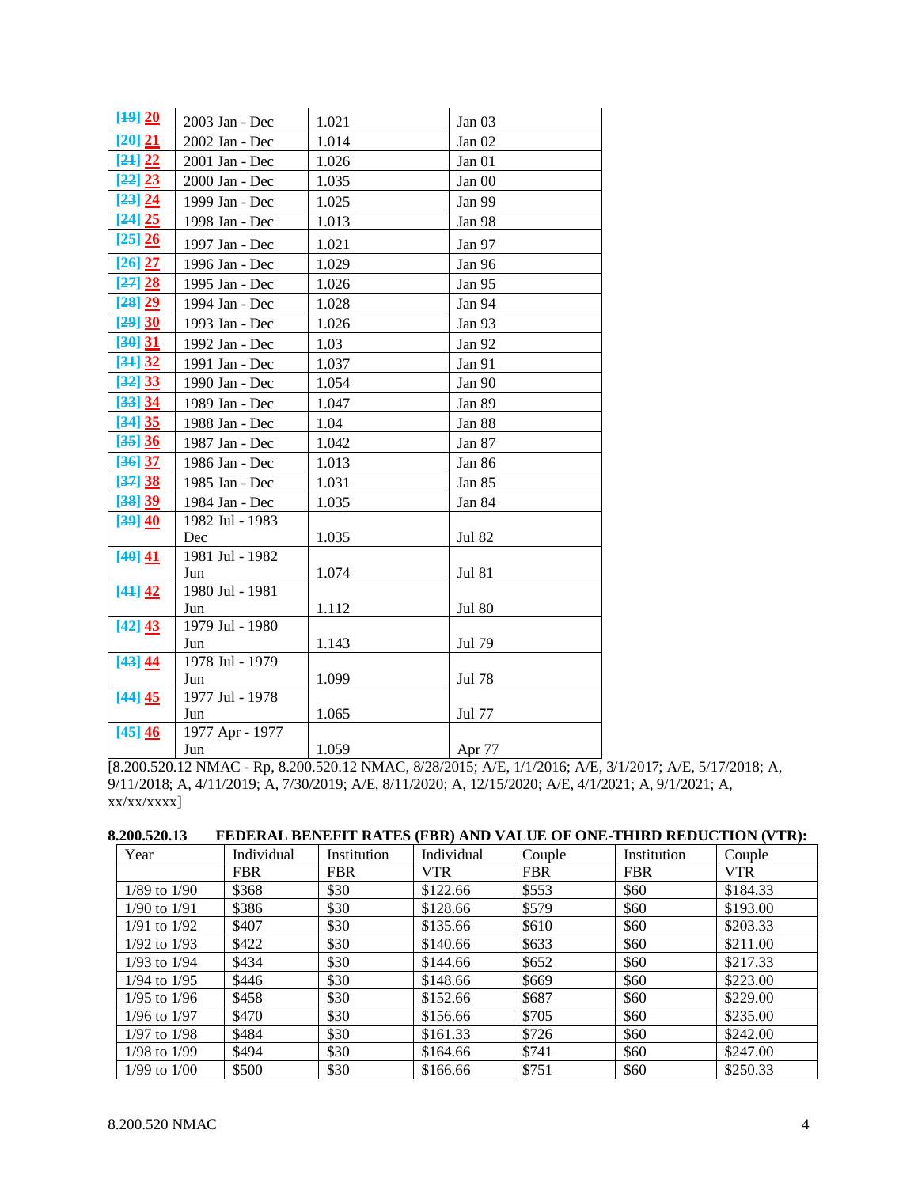| [49] 20 | 2003 Jan - Dec         | 1.021 | Jan 03        |
|---------|------------------------|-------|---------------|
| [20] 21 | 2002 Jan - Dec         | 1.014 | Jan $02$      |
| [24] 22 | 2001 Jan - Dec         | 1.026 | Jan 01        |
| [22] 23 | 2000 Jan - Dec         | 1.035 | Jan 00        |
| [23] 24 | 1999 Jan - Dec         | 1.025 | Jan 99        |
| [24] 25 | 1998 Jan - Dec         | 1.013 | Jan 98        |
| [25] 26 | 1997 Jan - Dec         | 1.021 | Jan 97        |
| [26] 27 | 1996 Jan - Dec         | 1.029 | Jan 96        |
| [27] 28 | 1995 Jan - Dec         | 1.026 | Jan 95        |
| [28] 29 | 1994 Jan - Dec         | 1.028 | Jan 94        |
| [29] 30 | 1993 Jan - Dec         | 1.026 | Jan 93        |
| [30] 31 | 1992 Jan - Dec         | 1.03  | Jan 92        |
| [34] 32 | 1991 Jan - Dec         | 1.037 | Jan 91        |
| [32] 33 | 1990 Jan - Dec         | 1.054 | Jan 90        |
| [33] 34 | 1989 Jan - Dec         | 1.047 | Jan 89        |
| [34] 35 | 1988 Jan - Dec         | 1.04  | Jan 88        |
| [35] 36 | 1987 Jan - Dec         | 1.042 | Jan 87        |
| [36] 37 | 1986 Jan - Dec         | 1.013 | Jan 86        |
| [37] 38 | 1985 Jan - Dec         | 1.031 | Jan 85        |
| [38] 39 | 1984 Jan - Dec         | 1.035 | Jan 84        |
| [39] 40 | 1982 Jul - 1983        |       |               |
|         | Dec                    | 1.035 | <b>Jul 82</b> |
| [40] 41 | 1981 Jul - 1982        |       |               |
|         | Jun                    | 1.074 | <b>Jul 81</b> |
| [44] 42 | 1980 Jul - 1981<br>Jun | 1.112 | <b>Jul 80</b> |
| [42] 43 | 1979 Jul - 1980        |       |               |
|         | Jun                    | 1.143 | Jul 79        |
| [43] 44 | 1978 Jul - 1979        |       |               |
|         | Jun                    | 1.099 | Jul 78        |
| [44] 45 | 1977 Jul - 1978        |       |               |
|         | Jun                    | 1.065 | Jul 77        |
| [45] 46 | 1977 Apr - 1977        |       |               |
|         | Jun                    | 1.059 | Apr 77        |

[8.200.520.12 NMAC - Rp, 8.200.520.12 NMAC, 8/28/2015; A/E, 1/1/2016; A/E, 3/1/2017; A/E, 5/17/2018; A, 9/11/2018; A, 4/11/2019; A, 7/30/2019; A/E, 8/11/2020; A, 12/15/2020; A/E, 4/1/2021; A, 9/1/2021; A,  $xx/xx/xxxx$ ]

| Year             | Individual | Institution | Individual | Couple     | Institution | Couple     |
|------------------|------------|-------------|------------|------------|-------------|------------|
|                  | <b>FBR</b> | <b>FBR</b>  | VTR.       | <b>FBR</b> | <b>FBR</b>  | <b>VTR</b> |
| $1/89$ to $1/90$ | \$368      | \$30        | \$122.66   | \$553      | \$60        | \$184.33   |
| $1/90$ to $1/91$ | \$386      | \$30        | \$128.66   | \$579      | \$60        | \$193.00   |
| $1/91$ to $1/92$ | \$407      | \$30        | \$135.66   | \$610      | \$60        | \$203.33   |
| $1/92$ to $1/93$ | \$422      | \$30        | \$140.66   | \$633      | \$60        | \$211.00   |
| $1/93$ to $1/94$ | \$434      | \$30        | \$144.66   | \$652      | \$60        | \$217.33   |
| $1/94$ to $1/95$ | \$446      | \$30        | \$148.66   | \$669      | \$60        | \$223.00   |
| $1/95$ to $1/96$ | \$458      | \$30        | \$152.66   | \$687      | \$60        | \$229.00   |
| $1/96$ to $1/97$ | \$470      | \$30        | \$156.66   | \$705      | \$60        | \$235.00   |
| $1/97$ to $1/98$ | \$484      | \$30        | \$161.33   | \$726      | \$60        | \$242.00   |
| $1/98$ to $1/99$ | \$494      | \$30        | \$164.66   | \$741      | \$60        | \$247.00   |
| 1/99 to 1/00     | \$500      | \$30        | \$166.66   | \$751      | \$60        | \$250.33   |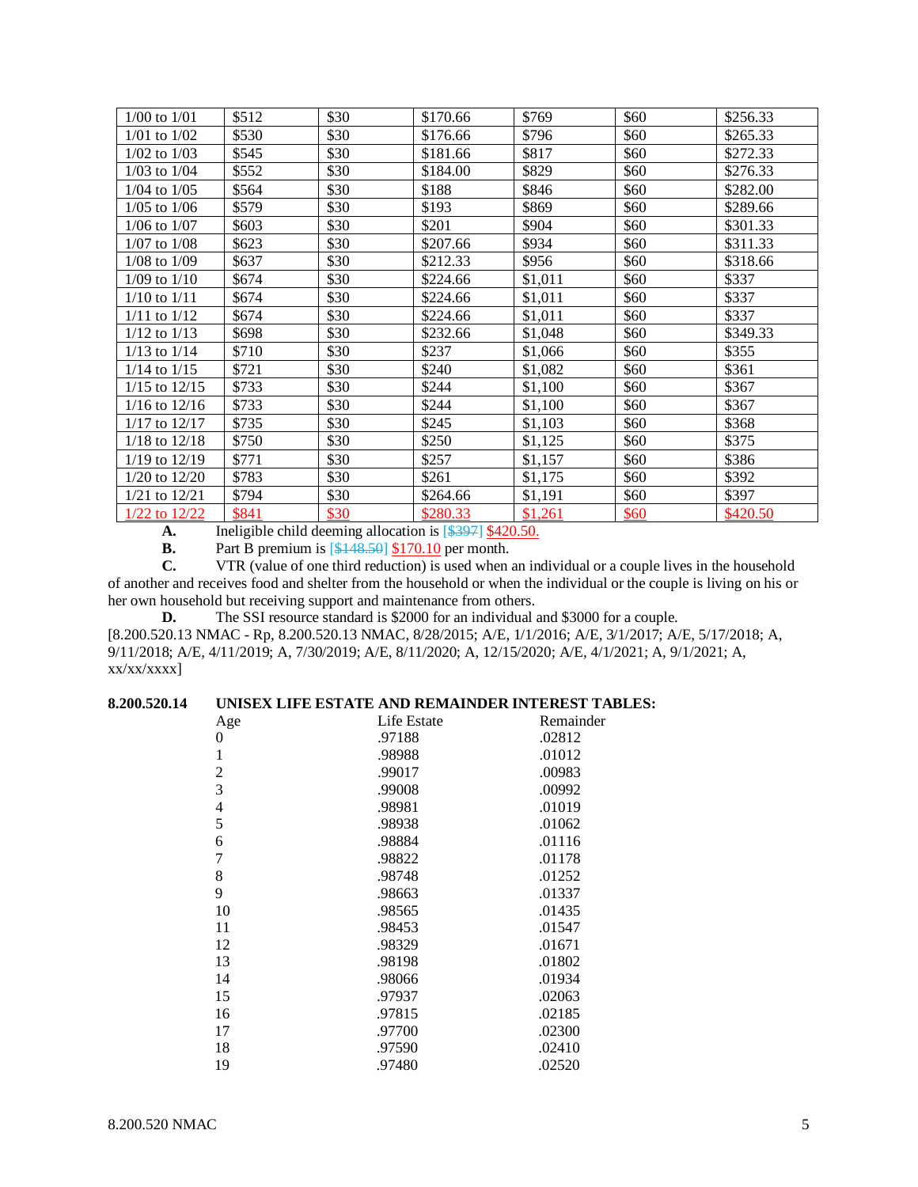| $1/00$ to $1/01$  | \$512 | \$30 | \$170.66 | \$769   | \$60 | \$256.33 |
|-------------------|-------|------|----------|---------|------|----------|
| $1/01$ to $1/02$  | \$530 | \$30 | \$176.66 | \$796   | \$60 | \$265.33 |
| $1/02$ to $1/03$  | \$545 | \$30 | \$181.66 | \$817   | \$60 | \$272.33 |
| $1/03$ to $1/04$  | \$552 | \$30 | \$184.00 | \$829   | \$60 | \$276.33 |
| $1/04$ to $1/05$  | \$564 | \$30 | \$188    | \$846   | \$60 | \$282.00 |
| $1/05$ to $1/06$  | \$579 | \$30 | \$193    | \$869   | \$60 | \$289.66 |
| $1/06$ to $1/07$  | \$603 | \$30 | \$201    | \$904   | \$60 | \$301.33 |
| $1/07$ to $1/08$  | \$623 | \$30 | \$207.66 | \$934   | \$60 | \$311.33 |
| $1/08$ to $1/09$  | \$637 | \$30 | \$212.33 | \$956   | \$60 | \$318.66 |
| $1/09$ to $1/10$  | \$674 | \$30 | \$224.66 | \$1,011 | \$60 | \$337    |
| $1/10$ to $1/11$  | \$674 | \$30 | \$224.66 | \$1,011 | \$60 | \$337    |
| $1/11$ to $1/12$  | \$674 | \$30 | \$224.66 | \$1,011 | \$60 | \$337    |
| $1/12$ to $1/13$  | \$698 | \$30 | \$232.66 | \$1,048 | \$60 | \$349.33 |
| $1/13$ to $1/14$  | \$710 | \$30 | \$237    | \$1,066 | \$60 | \$355    |
| $1/14$ to $1/15$  | \$721 | \$30 | \$240    | \$1,082 | \$60 | \$361    |
| $1/15$ to $12/15$ | \$733 | \$30 | \$244    | \$1,100 | \$60 | \$367    |
| $1/16$ to $12/16$ | \$733 | \$30 | \$244    | \$1,100 | \$60 | \$367    |
| $1/17$ to $12/17$ | \$735 | \$30 | \$245    | \$1,103 | \$60 | \$368    |
| $1/18$ to $12/18$ | \$750 | \$30 | \$250    | \$1,125 | \$60 | \$375    |
| $1/19$ to $12/19$ | \$771 | \$30 | \$257    | \$1,157 | \$60 | \$386    |
| $1/20$ to $12/20$ | \$783 | \$30 | \$261    | \$1,175 | \$60 | \$392    |
| $1/21$ to $12/21$ | \$794 | \$30 | \$264.66 | \$1,191 | \$60 | \$397    |
| 1/22 to 12/22     | \$841 | \$30 | \$280.33 | \$1,261 | \$60 | \$420.50 |

**A.** Ineligible child deeming allocation is  $\frac{\$397} \frac{\$420.50}{\$18.}$ <br>**B.** Part B premium is  $\frac{\$448.501}{\$170.10}$  per month.

Part B premium is [\$148.50] \$170.10 per month.

**C.** VTR (value of one third reduction) is used when an individual or a couple lives in the household of another and receives food and shelter from the household or when the individual or the couple is living on his or her own household but receiving support and maintenance from others.

**D.** The SSI resource standard is \$2000 for an individual and \$3000 for a couple. [8.200.520.13 NMAC - Rp, 8.200.520.13 NMAC, 8/28/2015; A/E, 1/1/2016; A/E, 3/1/2017; A/E, 5/17/2018; A, 9/11/2018; A/E, 4/11/2019; A, 7/30/2019; A/E, 8/11/2020; A, 12/15/2020; A/E, 4/1/2021; A, 9/1/2021; A,  $xx/xx/xxxx$ ]

# **8.200.520.14 UNISEX LIFE ESTATE AND REMAINDER INTEREST TABLES:**

| Age            | Life Estate | Remainder |
|----------------|-------------|-----------|
| 0              | .97188      | .02812    |
| $\mathbf{1}$   | .98988      | .01012    |
| $\overline{2}$ | .99017      | .00983    |
| 3              | .99008      | .00992    |
| $\overline{4}$ | .98981      | .01019    |
| 5              | .98938      | .01062    |
| 6              | .98884      | .01116    |
| $\overline{7}$ | .98822      | .01178    |
| 8              | .98748      | .01252    |
| 9              | .98663      | .01337    |
| 10             | .98565      | .01435    |
| 11             | .98453      | .01547    |
| 12             | .98329      | .01671    |
| 13             | .98198      | .01802    |
| 14             | .98066      | .01934    |
| 15             | .97937      | .02063    |
| 16             | .97815      | .02185    |
| 17             | .97700      | .02300    |
| 18             | .97590      | .02410    |
| 19             | .97480      | .02520    |
|                |             |           |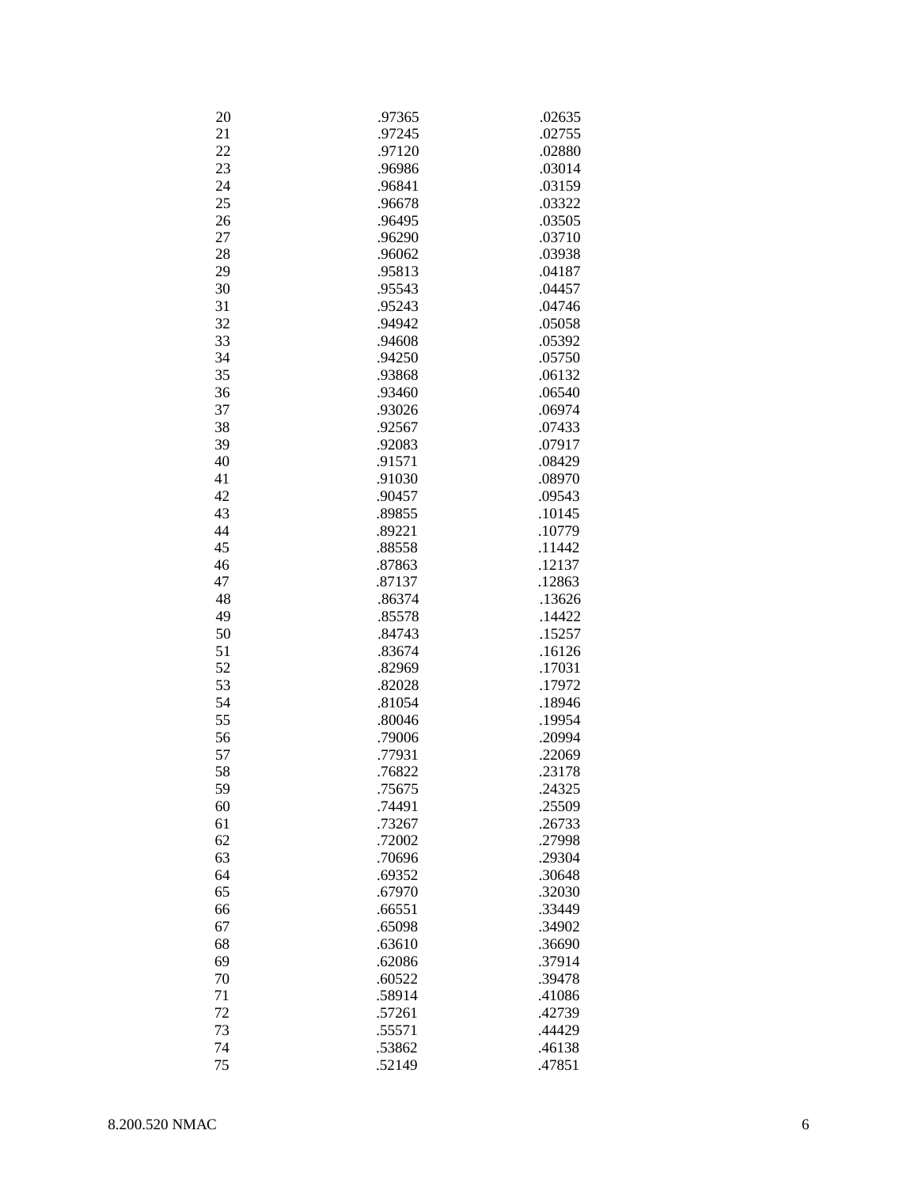| 20<br>.97365<br>.02635<br>21<br>.97245<br>.02755<br>22<br>.97120<br>.02880<br>23<br>.96986<br>.03014<br>24<br>.96841<br>.03159<br>25<br>.96678<br>.03322<br>26<br>.96495<br>.03505<br>27<br>.96290<br>.03710<br>28<br>.96062<br>.03938<br>29<br>.95813<br>.04187<br>30<br>.95543<br>.04457<br>31<br>.95243<br>.04746<br>32<br>.94942<br>.05058<br>33<br>.05392<br>.94608<br>34<br>.94250<br>.05750<br>35<br>.06132<br>.93868<br>36<br>.93460<br>.06540<br>37<br>.93026<br>.06974<br>38<br>.92567<br>.07433<br>39<br>.92083<br>.07917<br>40<br>.91571<br>.08429<br>41<br>.91030<br>.08970<br>42<br>.90457<br>.09543<br>43<br>.89855<br>.10145<br>44<br>.89221<br>.10779<br>45<br>.88558<br>.11442<br>46<br>.87863<br>.12137<br>47<br>.87137<br>.12863<br>48<br>.86374<br>.13626<br>49<br>.85578<br>.14422<br>50<br>.84743<br>.15257<br>51<br>.83674<br>.16126<br>52<br>.82969<br>.17031<br>53<br>.82028<br>.17972<br>54<br>.81054<br>.18946<br>55<br>.80046<br>.19954<br>56<br>.79006<br>.20994<br>57<br>.77931<br>.22069<br>58<br>.76822<br>.23178<br>59<br>.75675<br>.24325<br>60<br>.25509<br>.74491<br>61<br>.26733<br>.73267<br>62<br>.27998<br>.72002<br>63<br>.70696<br>.29304<br>64<br>.69352<br>.30648<br>65<br>.67970<br>.32030<br>.66551<br>66<br>.33449<br>67<br>.65098<br>.34902<br>68<br>.63610<br>.36690<br>69<br>.62086<br>.37914<br>70<br>.60522<br>.39478<br>71<br>.58914<br>.41086<br>72<br>.57261<br>.42739<br>73<br>.44429<br>.55571<br>74<br>.53862<br>.46138<br>75<br>.52149<br>.47851 |  |  |
|--------------------------------------------------------------------------------------------------------------------------------------------------------------------------------------------------------------------------------------------------------------------------------------------------------------------------------------------------------------------------------------------------------------------------------------------------------------------------------------------------------------------------------------------------------------------------------------------------------------------------------------------------------------------------------------------------------------------------------------------------------------------------------------------------------------------------------------------------------------------------------------------------------------------------------------------------------------------------------------------------------------------------------------------------------------------------------------------------------------------------------------------------------------------------------------------------------------------------------------------------------------------------------------------------------------------------------------------------------------------------------------------------------------------------------------------------------------------------------------------------------------|--|--|
|                                                                                                                                                                                                                                                                                                                                                                                                                                                                                                                                                                                                                                                                                                                                                                                                                                                                                                                                                                                                                                                                                                                                                                                                                                                                                                                                                                                                                                                                                                              |  |  |
|                                                                                                                                                                                                                                                                                                                                                                                                                                                                                                                                                                                                                                                                                                                                                                                                                                                                                                                                                                                                                                                                                                                                                                                                                                                                                                                                                                                                                                                                                                              |  |  |
|                                                                                                                                                                                                                                                                                                                                                                                                                                                                                                                                                                                                                                                                                                                                                                                                                                                                                                                                                                                                                                                                                                                                                                                                                                                                                                                                                                                                                                                                                                              |  |  |
|                                                                                                                                                                                                                                                                                                                                                                                                                                                                                                                                                                                                                                                                                                                                                                                                                                                                                                                                                                                                                                                                                                                                                                                                                                                                                                                                                                                                                                                                                                              |  |  |
|                                                                                                                                                                                                                                                                                                                                                                                                                                                                                                                                                                                                                                                                                                                                                                                                                                                                                                                                                                                                                                                                                                                                                                                                                                                                                                                                                                                                                                                                                                              |  |  |
|                                                                                                                                                                                                                                                                                                                                                                                                                                                                                                                                                                                                                                                                                                                                                                                                                                                                                                                                                                                                                                                                                                                                                                                                                                                                                                                                                                                                                                                                                                              |  |  |
|                                                                                                                                                                                                                                                                                                                                                                                                                                                                                                                                                                                                                                                                                                                                                                                                                                                                                                                                                                                                                                                                                                                                                                                                                                                                                                                                                                                                                                                                                                              |  |  |
|                                                                                                                                                                                                                                                                                                                                                                                                                                                                                                                                                                                                                                                                                                                                                                                                                                                                                                                                                                                                                                                                                                                                                                                                                                                                                                                                                                                                                                                                                                              |  |  |
|                                                                                                                                                                                                                                                                                                                                                                                                                                                                                                                                                                                                                                                                                                                                                                                                                                                                                                                                                                                                                                                                                                                                                                                                                                                                                                                                                                                                                                                                                                              |  |  |
|                                                                                                                                                                                                                                                                                                                                                                                                                                                                                                                                                                                                                                                                                                                                                                                                                                                                                                                                                                                                                                                                                                                                                                                                                                                                                                                                                                                                                                                                                                              |  |  |
|                                                                                                                                                                                                                                                                                                                                                                                                                                                                                                                                                                                                                                                                                                                                                                                                                                                                                                                                                                                                                                                                                                                                                                                                                                                                                                                                                                                                                                                                                                              |  |  |
|                                                                                                                                                                                                                                                                                                                                                                                                                                                                                                                                                                                                                                                                                                                                                                                                                                                                                                                                                                                                                                                                                                                                                                                                                                                                                                                                                                                                                                                                                                              |  |  |
|                                                                                                                                                                                                                                                                                                                                                                                                                                                                                                                                                                                                                                                                                                                                                                                                                                                                                                                                                                                                                                                                                                                                                                                                                                                                                                                                                                                                                                                                                                              |  |  |
|                                                                                                                                                                                                                                                                                                                                                                                                                                                                                                                                                                                                                                                                                                                                                                                                                                                                                                                                                                                                                                                                                                                                                                                                                                                                                                                                                                                                                                                                                                              |  |  |
|                                                                                                                                                                                                                                                                                                                                                                                                                                                                                                                                                                                                                                                                                                                                                                                                                                                                                                                                                                                                                                                                                                                                                                                                                                                                                                                                                                                                                                                                                                              |  |  |
|                                                                                                                                                                                                                                                                                                                                                                                                                                                                                                                                                                                                                                                                                                                                                                                                                                                                                                                                                                                                                                                                                                                                                                                                                                                                                                                                                                                                                                                                                                              |  |  |
|                                                                                                                                                                                                                                                                                                                                                                                                                                                                                                                                                                                                                                                                                                                                                                                                                                                                                                                                                                                                                                                                                                                                                                                                                                                                                                                                                                                                                                                                                                              |  |  |
|                                                                                                                                                                                                                                                                                                                                                                                                                                                                                                                                                                                                                                                                                                                                                                                                                                                                                                                                                                                                                                                                                                                                                                                                                                                                                                                                                                                                                                                                                                              |  |  |
|                                                                                                                                                                                                                                                                                                                                                                                                                                                                                                                                                                                                                                                                                                                                                                                                                                                                                                                                                                                                                                                                                                                                                                                                                                                                                                                                                                                                                                                                                                              |  |  |
|                                                                                                                                                                                                                                                                                                                                                                                                                                                                                                                                                                                                                                                                                                                                                                                                                                                                                                                                                                                                                                                                                                                                                                                                                                                                                                                                                                                                                                                                                                              |  |  |
|                                                                                                                                                                                                                                                                                                                                                                                                                                                                                                                                                                                                                                                                                                                                                                                                                                                                                                                                                                                                                                                                                                                                                                                                                                                                                                                                                                                                                                                                                                              |  |  |
|                                                                                                                                                                                                                                                                                                                                                                                                                                                                                                                                                                                                                                                                                                                                                                                                                                                                                                                                                                                                                                                                                                                                                                                                                                                                                                                                                                                                                                                                                                              |  |  |
|                                                                                                                                                                                                                                                                                                                                                                                                                                                                                                                                                                                                                                                                                                                                                                                                                                                                                                                                                                                                                                                                                                                                                                                                                                                                                                                                                                                                                                                                                                              |  |  |
|                                                                                                                                                                                                                                                                                                                                                                                                                                                                                                                                                                                                                                                                                                                                                                                                                                                                                                                                                                                                                                                                                                                                                                                                                                                                                                                                                                                                                                                                                                              |  |  |
|                                                                                                                                                                                                                                                                                                                                                                                                                                                                                                                                                                                                                                                                                                                                                                                                                                                                                                                                                                                                                                                                                                                                                                                                                                                                                                                                                                                                                                                                                                              |  |  |
|                                                                                                                                                                                                                                                                                                                                                                                                                                                                                                                                                                                                                                                                                                                                                                                                                                                                                                                                                                                                                                                                                                                                                                                                                                                                                                                                                                                                                                                                                                              |  |  |
|                                                                                                                                                                                                                                                                                                                                                                                                                                                                                                                                                                                                                                                                                                                                                                                                                                                                                                                                                                                                                                                                                                                                                                                                                                                                                                                                                                                                                                                                                                              |  |  |
|                                                                                                                                                                                                                                                                                                                                                                                                                                                                                                                                                                                                                                                                                                                                                                                                                                                                                                                                                                                                                                                                                                                                                                                                                                                                                                                                                                                                                                                                                                              |  |  |
|                                                                                                                                                                                                                                                                                                                                                                                                                                                                                                                                                                                                                                                                                                                                                                                                                                                                                                                                                                                                                                                                                                                                                                                                                                                                                                                                                                                                                                                                                                              |  |  |
|                                                                                                                                                                                                                                                                                                                                                                                                                                                                                                                                                                                                                                                                                                                                                                                                                                                                                                                                                                                                                                                                                                                                                                                                                                                                                                                                                                                                                                                                                                              |  |  |
|                                                                                                                                                                                                                                                                                                                                                                                                                                                                                                                                                                                                                                                                                                                                                                                                                                                                                                                                                                                                                                                                                                                                                                                                                                                                                                                                                                                                                                                                                                              |  |  |
|                                                                                                                                                                                                                                                                                                                                                                                                                                                                                                                                                                                                                                                                                                                                                                                                                                                                                                                                                                                                                                                                                                                                                                                                                                                                                                                                                                                                                                                                                                              |  |  |
|                                                                                                                                                                                                                                                                                                                                                                                                                                                                                                                                                                                                                                                                                                                                                                                                                                                                                                                                                                                                                                                                                                                                                                                                                                                                                                                                                                                                                                                                                                              |  |  |
|                                                                                                                                                                                                                                                                                                                                                                                                                                                                                                                                                                                                                                                                                                                                                                                                                                                                                                                                                                                                                                                                                                                                                                                                                                                                                                                                                                                                                                                                                                              |  |  |
|                                                                                                                                                                                                                                                                                                                                                                                                                                                                                                                                                                                                                                                                                                                                                                                                                                                                                                                                                                                                                                                                                                                                                                                                                                                                                                                                                                                                                                                                                                              |  |  |
|                                                                                                                                                                                                                                                                                                                                                                                                                                                                                                                                                                                                                                                                                                                                                                                                                                                                                                                                                                                                                                                                                                                                                                                                                                                                                                                                                                                                                                                                                                              |  |  |
|                                                                                                                                                                                                                                                                                                                                                                                                                                                                                                                                                                                                                                                                                                                                                                                                                                                                                                                                                                                                                                                                                                                                                                                                                                                                                                                                                                                                                                                                                                              |  |  |
|                                                                                                                                                                                                                                                                                                                                                                                                                                                                                                                                                                                                                                                                                                                                                                                                                                                                                                                                                                                                                                                                                                                                                                                                                                                                                                                                                                                                                                                                                                              |  |  |
|                                                                                                                                                                                                                                                                                                                                                                                                                                                                                                                                                                                                                                                                                                                                                                                                                                                                                                                                                                                                                                                                                                                                                                                                                                                                                                                                                                                                                                                                                                              |  |  |
|                                                                                                                                                                                                                                                                                                                                                                                                                                                                                                                                                                                                                                                                                                                                                                                                                                                                                                                                                                                                                                                                                                                                                                                                                                                                                                                                                                                                                                                                                                              |  |  |
|                                                                                                                                                                                                                                                                                                                                                                                                                                                                                                                                                                                                                                                                                                                                                                                                                                                                                                                                                                                                                                                                                                                                                                                                                                                                                                                                                                                                                                                                                                              |  |  |
|                                                                                                                                                                                                                                                                                                                                                                                                                                                                                                                                                                                                                                                                                                                                                                                                                                                                                                                                                                                                                                                                                                                                                                                                                                                                                                                                                                                                                                                                                                              |  |  |
|                                                                                                                                                                                                                                                                                                                                                                                                                                                                                                                                                                                                                                                                                                                                                                                                                                                                                                                                                                                                                                                                                                                                                                                                                                                                                                                                                                                                                                                                                                              |  |  |
|                                                                                                                                                                                                                                                                                                                                                                                                                                                                                                                                                                                                                                                                                                                                                                                                                                                                                                                                                                                                                                                                                                                                                                                                                                                                                                                                                                                                                                                                                                              |  |  |
|                                                                                                                                                                                                                                                                                                                                                                                                                                                                                                                                                                                                                                                                                                                                                                                                                                                                                                                                                                                                                                                                                                                                                                                                                                                                                                                                                                                                                                                                                                              |  |  |
|                                                                                                                                                                                                                                                                                                                                                                                                                                                                                                                                                                                                                                                                                                                                                                                                                                                                                                                                                                                                                                                                                                                                                                                                                                                                                                                                                                                                                                                                                                              |  |  |
|                                                                                                                                                                                                                                                                                                                                                                                                                                                                                                                                                                                                                                                                                                                                                                                                                                                                                                                                                                                                                                                                                                                                                                                                                                                                                                                                                                                                                                                                                                              |  |  |
|                                                                                                                                                                                                                                                                                                                                                                                                                                                                                                                                                                                                                                                                                                                                                                                                                                                                                                                                                                                                                                                                                                                                                                                                                                                                                                                                                                                                                                                                                                              |  |  |
|                                                                                                                                                                                                                                                                                                                                                                                                                                                                                                                                                                                                                                                                                                                                                                                                                                                                                                                                                                                                                                                                                                                                                                                                                                                                                                                                                                                                                                                                                                              |  |  |
|                                                                                                                                                                                                                                                                                                                                                                                                                                                                                                                                                                                                                                                                                                                                                                                                                                                                                                                                                                                                                                                                                                                                                                                                                                                                                                                                                                                                                                                                                                              |  |  |
|                                                                                                                                                                                                                                                                                                                                                                                                                                                                                                                                                                                                                                                                                                                                                                                                                                                                                                                                                                                                                                                                                                                                                                                                                                                                                                                                                                                                                                                                                                              |  |  |
|                                                                                                                                                                                                                                                                                                                                                                                                                                                                                                                                                                                                                                                                                                                                                                                                                                                                                                                                                                                                                                                                                                                                                                                                                                                                                                                                                                                                                                                                                                              |  |  |
|                                                                                                                                                                                                                                                                                                                                                                                                                                                                                                                                                                                                                                                                                                                                                                                                                                                                                                                                                                                                                                                                                                                                                                                                                                                                                                                                                                                                                                                                                                              |  |  |
|                                                                                                                                                                                                                                                                                                                                                                                                                                                                                                                                                                                                                                                                                                                                                                                                                                                                                                                                                                                                                                                                                                                                                                                                                                                                                                                                                                                                                                                                                                              |  |  |
|                                                                                                                                                                                                                                                                                                                                                                                                                                                                                                                                                                                                                                                                                                                                                                                                                                                                                                                                                                                                                                                                                                                                                                                                                                                                                                                                                                                                                                                                                                              |  |  |
|                                                                                                                                                                                                                                                                                                                                                                                                                                                                                                                                                                                                                                                                                                                                                                                                                                                                                                                                                                                                                                                                                                                                                                                                                                                                                                                                                                                                                                                                                                              |  |  |
|                                                                                                                                                                                                                                                                                                                                                                                                                                                                                                                                                                                                                                                                                                                                                                                                                                                                                                                                                                                                                                                                                                                                                                                                                                                                                                                                                                                                                                                                                                              |  |  |
|                                                                                                                                                                                                                                                                                                                                                                                                                                                                                                                                                                                                                                                                                                                                                                                                                                                                                                                                                                                                                                                                                                                                                                                                                                                                                                                                                                                                                                                                                                              |  |  |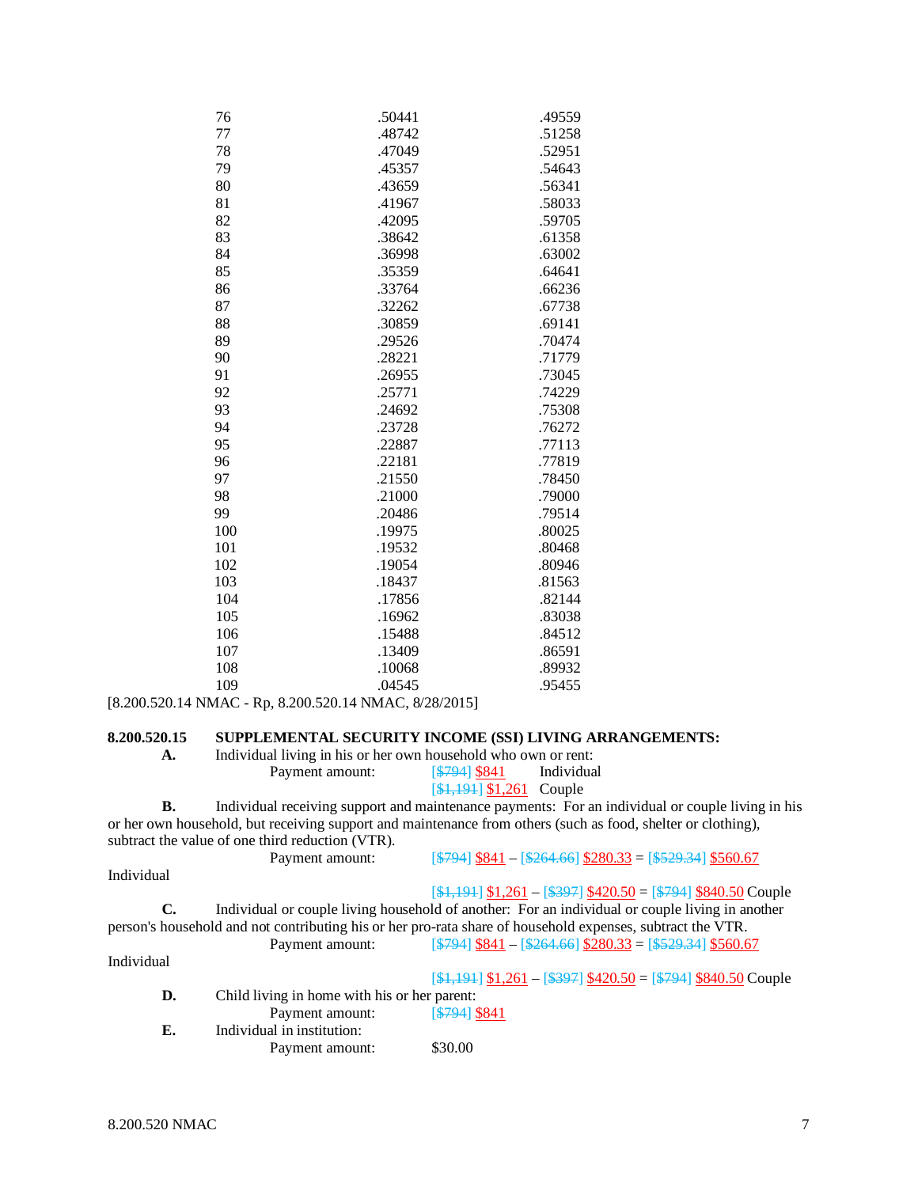| .50441 | .49559 |
|--------|--------|
| .48742 | .51258 |
| .47049 | .52951 |
| .45357 | .54643 |
| .43659 | .56341 |
| .41967 | .58033 |
| .42095 | .59705 |
| .38642 | .61358 |
| .36998 | .63002 |
| .35359 | .64641 |
| .33764 | .66236 |
| .32262 | .67738 |
| .30859 | .69141 |
| .29526 | .70474 |
| .28221 | .71779 |
| .26955 | .73045 |
| .25771 | .74229 |
| .24692 | .75308 |
| .23728 | .76272 |
| .22887 | .77113 |
| .22181 | .77819 |
| .21550 | .78450 |
| .21000 | .79000 |
| .20486 | .79514 |
| .19975 | .80025 |
| .19532 | .80468 |
| .19054 | .80946 |
| .18437 | .81563 |
| .17856 | .82144 |
| .16962 | .83038 |
| .15488 | .84512 |
| .13409 | .86591 |
| .10068 | .89932 |
| .04545 | .95455 |
|        |        |

[8.200.520.14 NMAC - Rp, 8.200.520.14 NMAC, 8/28/2015]

# **8.200.520.15 SUPPLEMENTAL SECURITY INCOME (SSI) LIVING ARRANGEMENTS:**

| А. | Individual living in his or her own household who own or rent: |               |            |
|----|----------------------------------------------------------------|---------------|------------|
|    | Payment amount:                                                | $5794$ $$841$ | Individual |

# $[4,194]$  \$1,261 Couple

**B.** Individual receiving support and maintenance payments: For an individual or couple living in his or her own household, but receiving support and maintenance from others (such as food, shelter or clothing), subtract the value of one third reduction (VTR).

| Individual                                                                                                 |  |
|------------------------------------------------------------------------------------------------------------|--|
|                                                                                                            |  |
| $[41,191]$ \$1,261 - [\$397] \$420.50 = [\$794] \$840.50 Couple                                            |  |
| Individual or couple living household of another: For an individual or couple living in another<br>C.      |  |
| person's household and not contributing his or her pro-rata share of household expenses, subtract the VTR. |  |
| $\[ $794]$ \$841 - $$264.66]$ \$280.33 = $$529.34]$ \$560.67<br>Payment amount:                            |  |
| Individual                                                                                                 |  |
| $[$1,191]$ \$1,261 - [\$397] \$420.50 = [\$794] \$840.50 Couple                                            |  |
| D.<br>Child living in home with his or her parent:                                                         |  |
| [\$794] \$841<br>Payment amount:                                                                           |  |
| Individual in institution:<br>Е.                                                                           |  |
| \$30.00<br>Payment amount:                                                                                 |  |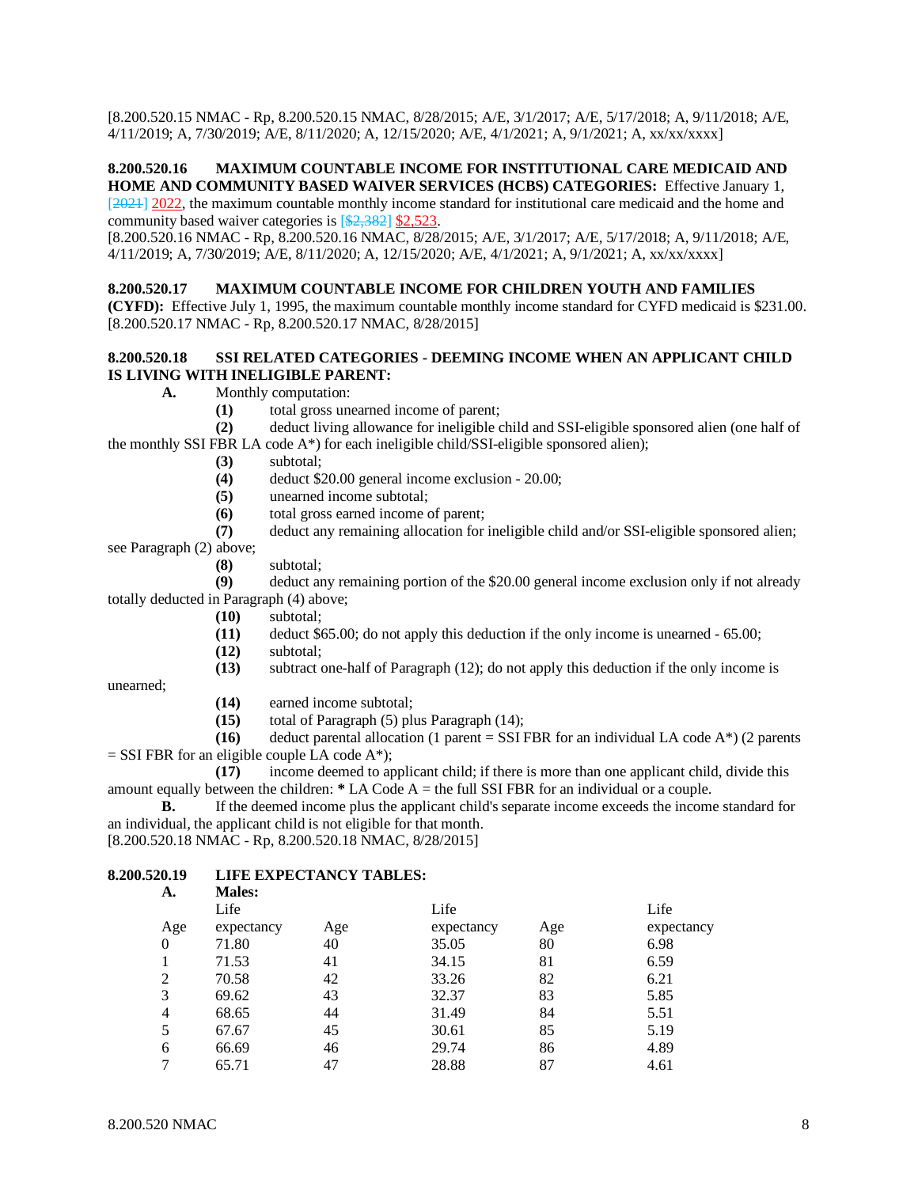[8.200.520.15 NMAC - Rp, 8.200.520.15 NMAC, 8/28/2015; A/E, 3/1/2017; A/E, 5/17/2018; A, 9/11/2018; A/E, 4/11/2019; A, 7/30/2019; A/E, 8/11/2020; A, 12/15/2020; A/E, 4/1/2021; A, 9/1/2021; A, xx/xx/xxxx]

# **8.200.520.16 MAXIMUM COUNTABLE INCOME FOR INSTITUTIONAL CARE MEDICAID AND HOME AND COMMUNITY BASED WAIVER SERVICES (HCBS) CATEGORIES:** Effective January 1,

[2021] 2022, the maximum countable monthly income standard for institutional care medicaid and the home and community based waiver categories is [\$2,382] \$2,523.

[8.200.520.16 NMAC - Rp, 8.200.520.16 NMAC, 8/28/2015; A/E, 3/1/2017; A/E, 5/17/2018; A, 9/11/2018; A/E, 4/11/2019; A, 7/30/2019; A/E, 8/11/2020; A, 12/15/2020; A/E, 4/1/2021; A, 9/1/2021; A, xx/xx/xxxx]

#### **8.200.520.17 MAXIMUM COUNTABLE INCOME FOR CHILDREN YOUTH AND FAMILIES**

**(CYFD):** Effective July 1, 1995, the maximum countable monthly income standard for CYFD medicaid is \$231.00. [8.200.520.17 NMAC - Rp, 8.200.520.17 NMAC, 8/28/2015]

#### **8.200.520.18 SSI RELATED CATEGORIES - DEEMING INCOME WHEN AN APPLICANT CHILD IS LIVING WITH INELIGIBLE PARENT:**

- **A.** Monthly computation:
	- **(1)** total gross unearned income of parent;

**(2)** deduct living allowance for ineligible child and SSI-eligible sponsored alien (one half of the monthly SSI FBR LA code A\*) for each ineligible child/SSI-eligible sponsored alien);

- **(3)** subtotal;
- **(4)** deduct \$20.00 general income exclusion 20.00;
- **(5)** unearned income subtotal;
- **(6)** total gross earned income of parent;
- **(7)** deduct any remaining allocation for ineligible child and/or SSI-eligible sponsored alien; see Paragraph (2) above;

**(8)** subtotal;

**(9)** deduct any remaining portion of the \$20.00 general income exclusion only if not already totally deducted in Paragraph (4) above;

- **(10)** subtotal;
- **(11)** deduct \$65.00; do not apply this deduction if the only income is unearned 65.00;
- **(12)** subtotal;
- **(13)** subtract one-half of Paragraph (12); do not apply this deduction if the only income is

unearned;

- **(14)** earned income subtotal;
- **(15)** total of Paragraph (5) plus Paragraph (14);

**(16)** deduct parental allocation (1 parent = SSI FBR for an individual LA code  $A^*$ ) (2 parents  $=$  SSI FBR for an eligible couple LA code A\*);

**(17)** income deemed to applicant child; if there is more than one applicant child, divide this amount equally between the children: **\*** LA Code A = the full SSI FBR for an individual or a couple.

**B.** If the deemed income plus the applicant child's separate income exceeds the income standard for an individual, the applicant child is not eligible for that month.

[8.200.520.18 NMAC - Rp, 8.200.520.18 NMAC, 8/28/2015]

#### **8.200.520.19 LIFE EXPECTANCY TABLES: A. Males:**

| л.             | гиансэ.    |     |            |     |            |
|----------------|------------|-----|------------|-----|------------|
|                | Life       |     | Life       |     | Life       |
| Age            | expectancy | Age | expectancy | Age | expectancy |
| $\theta$       | 71.80      | 40  | 35.05      | 80  | 6.98       |
|                | 71.53      | 41  | 34.15      | 81  | 6.59       |
| 2              | 70.58      | 42  | 33.26      | 82  | 6.21       |
| 3              | 69.62      | 43  | 32.37      | 83  | 5.85       |
| $\overline{4}$ | 68.65      | 44  | 31.49      | 84  | 5.51       |
|                | 67.67      | 45  | 30.61      | 85  | 5.19       |
| 6              | 66.69      | 46  | 29.74      | 86  | 4.89       |
|                | 65.71      | 47  | 28.88      | 87  | 4.61       |
|                |            |     |            |     |            |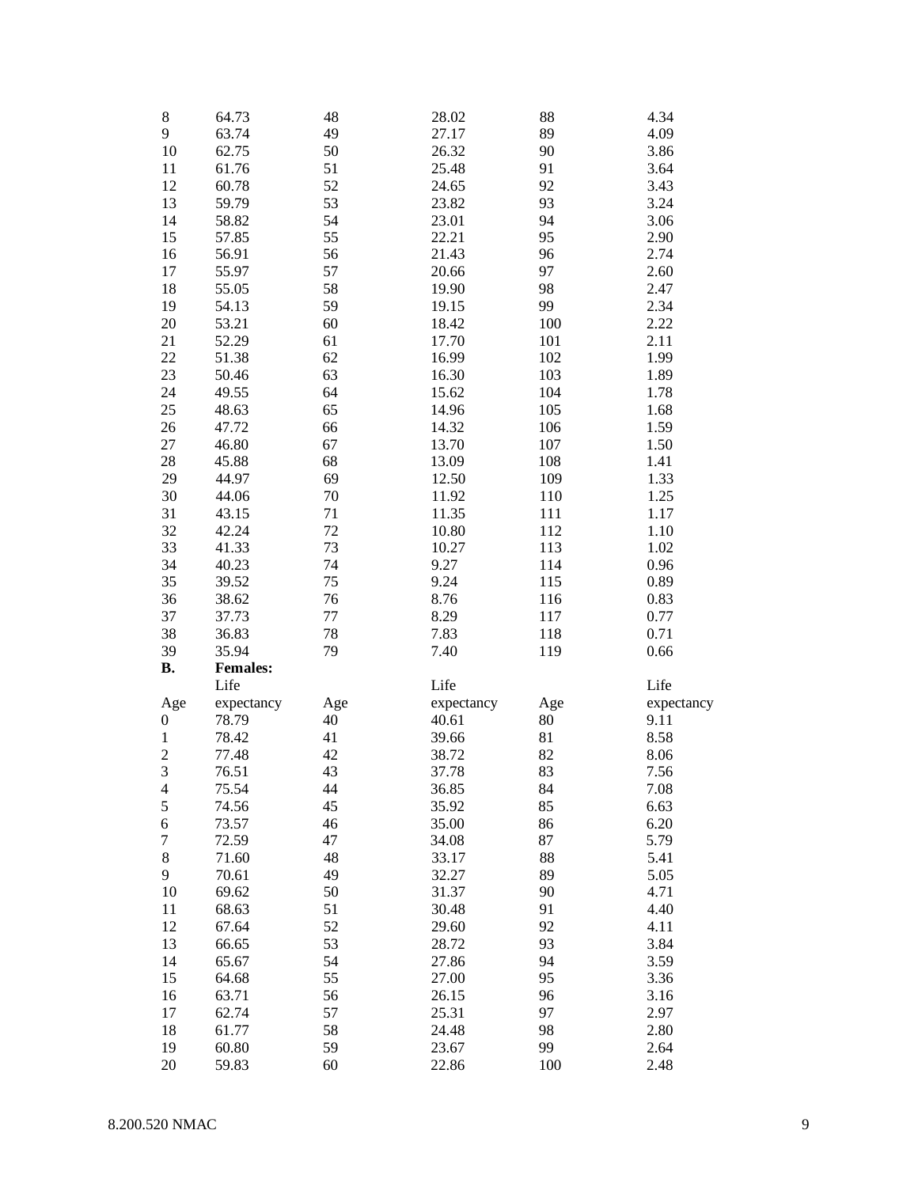| $\,$ 8 $\,$                      | 64.73           | 48  | 28.02      | 88        | 4.34       |
|----------------------------------|-----------------|-----|------------|-----------|------------|
| 9                                | 63.74           | 49  | 27.17      | 89        | 4.09       |
| 10                               | 62.75           | 50  | 26.32      | 90        | 3.86       |
| 11                               | 61.76           | 51  | 25.48      | 91        | 3.64       |
| 12                               | 60.78           | 52  | 24.65      | 92        | 3.43       |
| 13                               | 59.79           | 53  | 23.82      | 93        | 3.24       |
| 14                               | 58.82           | 54  | 23.01      | 94        | 3.06       |
| 15                               | 57.85           | 55  | 22.21      | 95        | 2.90       |
| 16                               | 56.91           | 56  | 21.43      | 96        | 2.74       |
| 17                               | 55.97           | 57  | 20.66      | 97        | 2.60       |
| 18                               | 55.05           | 58  | 19.90      | 98        | 2.47       |
|                                  |                 |     |            |           |            |
| 19                               | 54.13           | 59  | 19.15      | 99        | 2.34       |
| 20                               | 53.21           | 60  | 18.42      | 100       | 2.22       |
| 21                               | 52.29           | 61  | 17.70      | 101       | 2.11       |
| 22                               | 51.38           | 62  | 16.99      | 102       | 1.99       |
| 23                               | 50.46           | 63  | 16.30      | 103       | 1.89       |
| 24                               | 49.55           | 64  | 15.62      | 104       | 1.78       |
| 25                               | 48.63           | 65  | 14.96      | 105       | 1.68       |
| 26                               | 47.72           | 66  | 14.32      | 106       | 1.59       |
| 27                               | 46.80           | 67  | 13.70      | 107       | 1.50       |
| 28                               | 45.88           | 68  | 13.09      | 108       | 1.41       |
| 29                               | 44.97           | 69  | 12.50      | 109       | 1.33       |
| 30                               | 44.06           | 70  | 11.92      | 110       | 1.25       |
| 31                               | 43.15           | 71  | 11.35      | 111       | 1.17       |
| 32                               | 42.24           | 72  | 10.80      | 112       | 1.10       |
| 33                               | 41.33           | 73  | 10.27      | 113       | 1.02       |
| 34                               | 40.23           | 74  | 9.27       | 114       | 0.96       |
| 35                               | 39.52           | 75  | 9.24       | 115       | 0.89       |
| 36                               | 38.62           | 76  | 8.76       | 116       | 0.83       |
| 37                               | 37.73           | 77  | 8.29       | 117       | 0.77       |
| 38                               | 36.83           | 78  | 7.83       | 118       | 0.71       |
| 39                               | 35.94           | 79  | 7.40       | 119       | 0.66       |
| <b>B.</b>                        | <b>Females:</b> |     |            |           |            |
|                                  | Life            |     | Life       |           | Life       |
|                                  | expectancy      | Age | expectancy |           | expectancy |
| Age<br>0                         | 78.79           | 40  | 40.61      | Age<br>80 | 9.11       |
| $\mathbf{1}$                     | 78.42           | 41  | 39.66      | 81        | 8.58       |
|                                  | 77.48           | 42  |            | 82        |            |
| $\overline{c}$<br>$\overline{3}$ |                 | 43  | 38.72      | 83        | 8.06       |
|                                  | 76.51           |     | 37.78      |           | 7.56       |
| 4                                | 75.54           | 44  | 36.85      | 84        | 7.08       |
| $\mathfrak s$                    | 74.56           | 45  | 35.92      | 85        | 6.63       |
| 6                                | 73.57           | 46  | 35.00      | 86        | 6.20       |
| 7                                | 72.59           | 47  | 34.08      | 87        | 5.79       |
| 8                                | 71.60           | 48  | 33.17      | 88        | 5.41       |
| 9                                | 70.61           | 49  | 32.27      | 89        | 5.05       |
| 10                               | 69.62           | 50  | 31.37      | 90        | 4.71       |
| 11                               | 68.63           | 51  | 30.48      | 91        | 4.40       |
| 12                               | 67.64           | 52  | 29.60      | 92        | 4.11       |
| 13                               | 66.65           | 53  | 28.72      | 93        | 3.84       |
| 14                               | 65.67           | 54  | 27.86      | 94        | 3.59       |
| 15                               | 64.68           | 55  | 27.00      | 95        | 3.36       |
| 16                               | 63.71           | 56  | 26.15      | 96        | 3.16       |
| 17                               | 62.74           | 57  | 25.31      | 97        | 2.97       |
| 18                               | 61.77           | 58  | 24.48      | 98        | 2.80       |
| 19                               | 60.80           | 59  | 23.67      | 99        | 2.64       |
| 20                               | 59.83           | 60  | 22.86      | 100       | 2.48       |
|                                  |                 |     |            |           |            |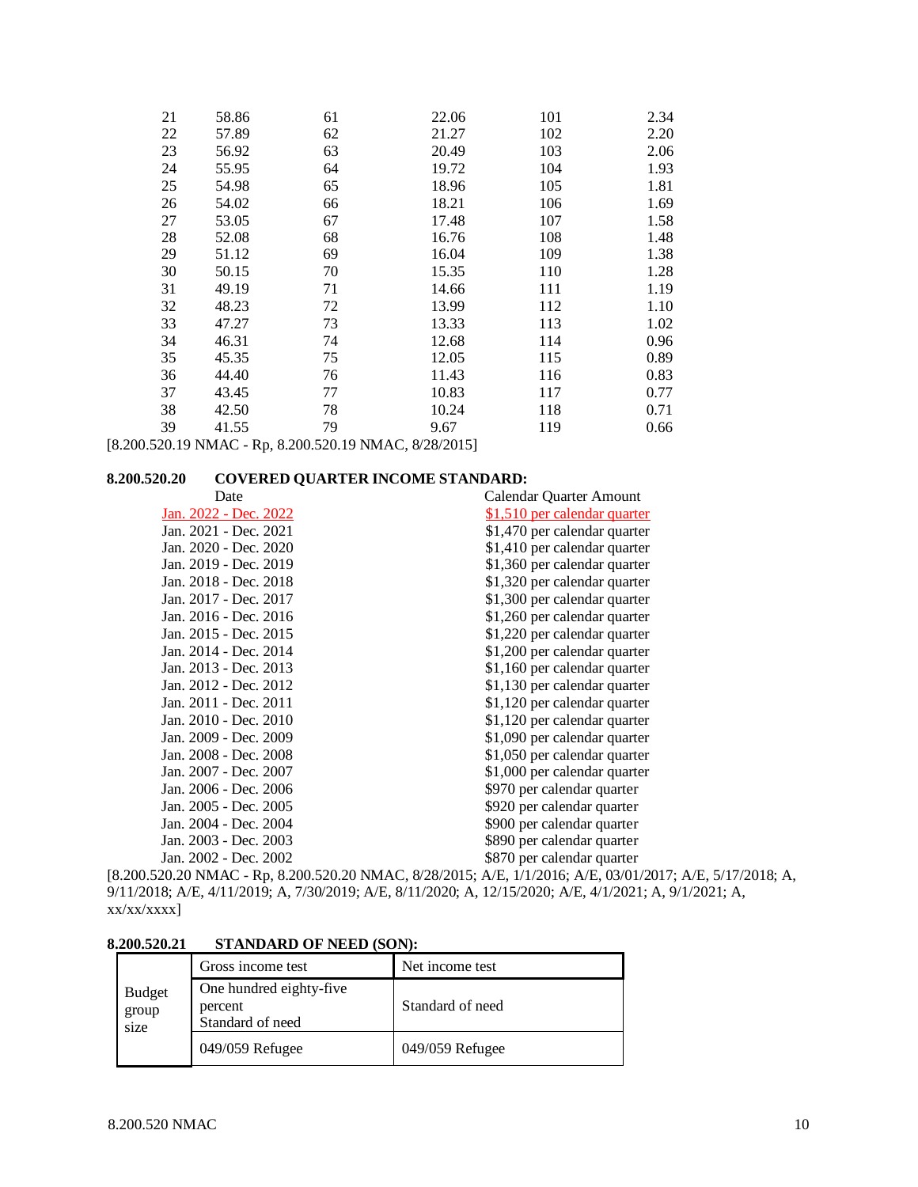| 21 | 58.86 | 61 | 22.06 | 101 | 2.34 |
|----|-------|----|-------|-----|------|
| 22 | 57.89 | 62 | 21.27 | 102 | 2.20 |
| 23 | 56.92 | 63 | 20.49 | 103 | 2.06 |
| 24 | 55.95 | 64 | 19.72 | 104 | 1.93 |
| 25 | 54.98 | 65 | 18.96 | 105 | 1.81 |
| 26 | 54.02 | 66 | 18.21 | 106 | 1.69 |
| 27 | 53.05 | 67 | 17.48 | 107 | 1.58 |
| 28 | 52.08 | 68 | 16.76 | 108 | 1.48 |
| 29 | 51.12 | 69 | 16.04 | 109 | 1.38 |
| 30 | 50.15 | 70 | 15.35 | 110 | 1.28 |
| 31 | 49.19 | 71 | 14.66 | 111 | 1.19 |
| 32 | 48.23 | 72 | 13.99 | 112 | 1.10 |
| 33 | 47.27 | 73 | 13.33 | 113 | 1.02 |
| 34 | 46.31 | 74 | 12.68 | 114 | 0.96 |
| 35 | 45.35 | 75 | 12.05 | 115 | 0.89 |
| 36 | 44.40 | 76 | 11.43 | 116 | 0.83 |
| 37 | 43.45 | 77 | 10.83 | 117 | 0.77 |
| 38 | 42.50 | 78 | 10.24 | 118 | 0.71 |
| 39 | 41.55 | 79 | 9.67  | 119 | 0.66 |

[8.200.520.19 NMAC - Rp, 8.200.520.19 NMAC, 8/28/2015]

### **8.200.520.20 COVERED QUARTER INCOME STANDARD:**

| Date                  | Calendar Quarter Amount      |
|-----------------------|------------------------------|
| Jan. 2022 - Dec. 2022 | \$1,510 per calendar quarter |
| Jan. 2021 - Dec. 2021 | \$1,470 per calendar quarter |
| Jan. 2020 - Dec. 2020 | \$1,410 per calendar quarter |
| Jan. 2019 - Dec. 2019 | \$1,360 per calendar quarter |
| Jan. 2018 - Dec. 2018 | \$1,320 per calendar quarter |
| Jan. 2017 - Dec. 2017 | \$1,300 per calendar quarter |
| Jan. 2016 - Dec. 2016 | \$1,260 per calendar quarter |
| Jan. 2015 - Dec. 2015 | \$1,220 per calendar quarter |
| Jan. 2014 - Dec. 2014 | \$1,200 per calendar quarter |
| Jan. 2013 - Dec. 2013 | \$1,160 per calendar quarter |
| Jan. 2012 - Dec. 2012 | \$1,130 per calendar quarter |
| Jan. 2011 - Dec. 2011 | \$1,120 per calendar quarter |
| Jan. 2010 - Dec. 2010 | \$1,120 per calendar quarter |
| Jan. 2009 - Dec. 2009 | \$1,090 per calendar quarter |
| Jan. 2008 - Dec. 2008 | \$1,050 per calendar quarter |
| Jan. 2007 - Dec. 2007 | \$1,000 per calendar quarter |
| Jan. 2006 - Dec. 2006 | \$970 per calendar quarter   |
| Jan. 2005 - Dec. 2005 | \$920 per calendar quarter   |
| Jan. 2004 - Dec. 2004 | \$900 per calendar quarter   |
| Jan. 2003 - Dec. 2003 | \$890 per calendar quarter   |
| Jan. 2002 - Dec. 2002 | \$870 per calendar quarter   |
|                       |                              |

[8.200.520.20 NMAC - Rp, 8.200.520.20 NMAC, 8/28/2015; A/E, 1/1/2016; A/E, 03/01/2017; A/E, 5/17/2018; A, 9/11/2018; A/E, 4/11/2019; A, 7/30/2019; A/E, 8/11/2020; A, 12/15/2020; A/E, 4/1/2021; A, 9/1/2021; A, xx/xx/xxxx]

# **8.200.520.21 STANDARD OF NEED (SON):**

|                                | Gross income test                                      | Net income test  |
|--------------------------------|--------------------------------------------------------|------------------|
| <b>Budget</b><br>group<br>size | One hundred eighty-five<br>percent<br>Standard of need | Standard of need |
|                                | 049/059 Refugee                                        | 049/059 Refugee  |